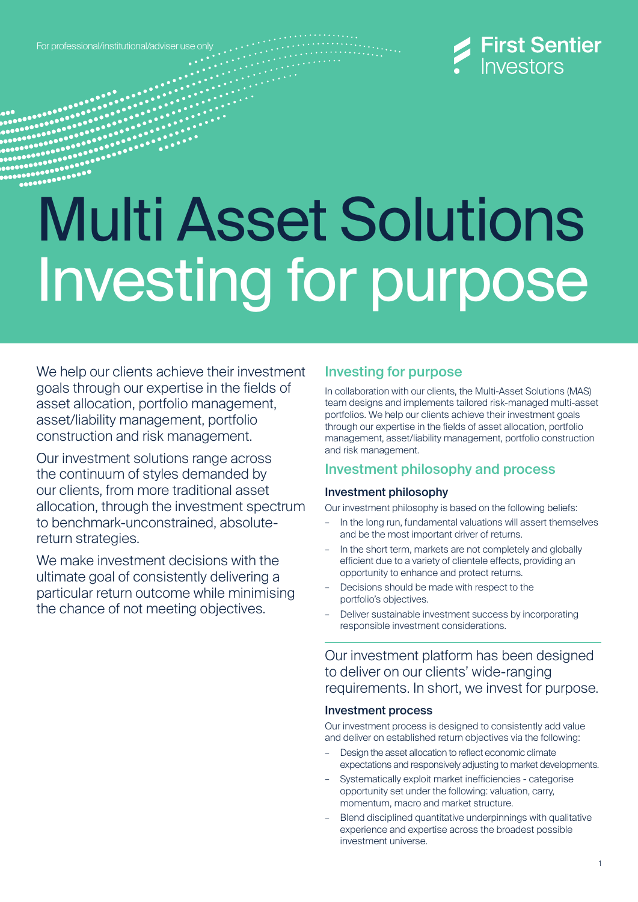For professional/institutional/adviser use only



# Multi Asset Solutions Investing for purpose

We help our clients achieve their investment goals through our expertise in the fields of asset allocation, portfolio management, asset/liability management, portfolio construction and risk management.

Our investment solutions range across the continuum of styles demanded by our clients, from more traditional asset allocation, through the investment spectrum to benchmark-unconstrained, absolutereturn strategies.

We make investment decisions with the ultimate goal of consistently delivering a particular return outcome while minimising the chance of not meeting objectives.

## Investing for purpose

In collaboration with our clients, the Multi-Asset Solutions (MAS) team designs and implements tailored risk-managed multi-asset portfolios. We help our clients achieve their investment goals through our expertise in the fields of asset allocation, portfolio management, asset/liability management, portfolio construction and risk management.

## Investment philosophy and process

## Investment philosophy

Our investment philosophy is based on the following beliefs:

- In the long run, fundamental valuations will assert themselves and be the most important driver of returns.
- In the short term, markets are not completely and globally efficient due to a variety of clientele effects, providing an opportunity to enhance and protect returns.
- Decisions should be made with respect to the portfolio's objectives.
- Deliver sustainable investment success by incorporating responsible investment considerations.

Our investment platform has been designed to deliver on our clients' wide-ranging requirements. In short, we invest for purpose.

#### Investment process

Our investment process is designed to consistently add value and deliver on established return objectives via the following:

- Design the asset allocation to reflect economic climate expectations and responsively adjusting to market developments.
- Systematically exploit market inefficiencies categorise opportunity set under the following: valuation, carry, momentum, macro and market structure.
- Blend disciplined quantitative underpinnings with qualitative experience and expertise across the broadest possible investment universe.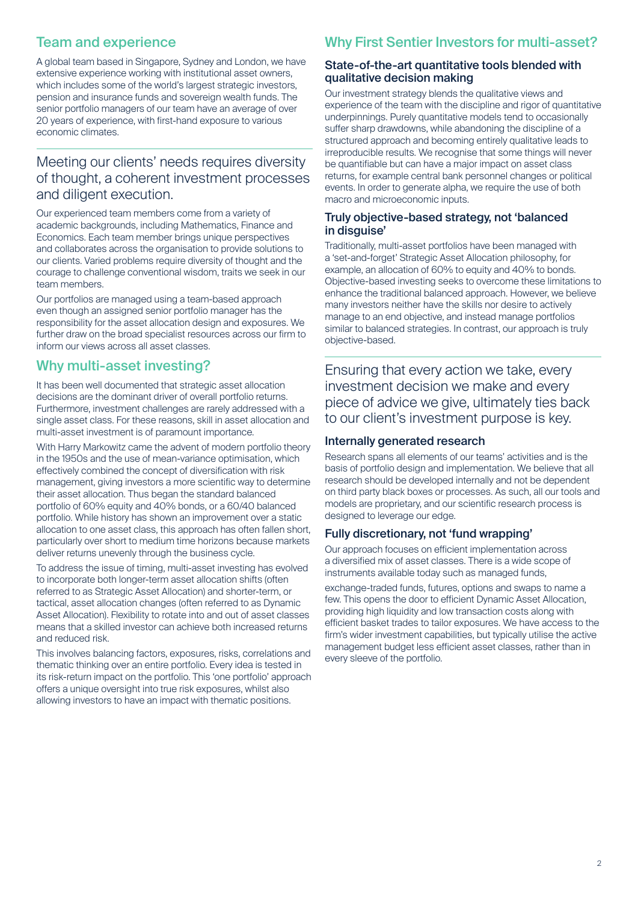# Team and experience

A global team based in Singapore, Sydney and London, we have extensive experience working with institutional asset owners, which includes some of the world's largest strategic investors, pension and insurance funds and sovereign wealth funds. The senior portfolio managers of our team have an average of over 20 years of experience, with first-hand exposure to various economic climates.

## Meeting our clients' needs requires diversity of thought, a coherent investment processes and diligent execution.

Our experienced team members come from a variety of academic backgrounds, including Mathematics, Finance and Economics. Each team member brings unique perspectives and collaborates across the organisation to provide solutions to our clients. Varied problems require diversity of thought and the courage to challenge conventional wisdom, traits we seek in our team members.

Our portfolios are managed using a team-based approach even though an assigned senior portfolio manager has the responsibility for the asset allocation design and exposures. We further draw on the broad specialist resources across our firm to inform our views across all asset classes.

## Why multi-asset investing?

It has been well documented that strategic asset allocation decisions are the dominant driver of overall portfolio returns. Furthermore, investment challenges are rarely addressed with a single asset class. For these reasons, skill in asset allocation and multi-asset investment is of paramount importance.

With Harry Markowitz came the advent of modern portfolio theory in the 1950s and the use of mean-variance optimisation, which effectively combined the concept of diversification with risk management, giving investors a more scientific way to determine their asset allocation. Thus began the standard balanced portfolio of 60% equity and 40% bonds, or a 60/40 balanced portfolio. While history has shown an improvement over a static allocation to one asset class, this approach has often fallen short, particularly over short to medium time horizons because markets deliver returns unevenly through the business cycle.

To address the issue of timing, multi-asset investing has evolved to incorporate both longer-term asset allocation shifts (often referred to as Strategic Asset Allocation) and shorter-term, or tactical, asset allocation changes (often referred to as Dynamic Asset Allocation). Flexibility to rotate into and out of asset classes means that a skilled investor can achieve both increased returns and reduced risk.

This involves balancing factors, exposures, risks, correlations and thematic thinking over an entire portfolio. Every idea is tested in its risk-return impact on the portfolio. This 'one portfolio' approach offers a unique oversight into true risk exposures, whilst also allowing investors to have an impact with thematic positions.

## Why First Sentier Investors for multi-asset?

#### State-of-the-art quantitative tools blended with qualitative decision making

Our investment strategy blends the qualitative views and experience of the team with the discipline and rigor of quantitative underpinnings. Purely quantitative models tend to occasionally suffer sharp drawdowns, while abandoning the discipline of a structured approach and becoming entirely qualitative leads to irreproducible results. We recognise that some things will never be quantifiable but can have a major impact on asset class returns, for example central bank personnel changes or political events. In order to generate alpha, we require the use of both macro and microeconomic inputs.

#### Truly objective-based strategy, not 'balanced in disquise'

Traditionally, multi-asset portfolios have been managed with a 'set-and-forget' Strategic Asset Allocation philosophy, for example, an allocation of 60% to equity and 40% to bonds. Objective-based investing seeks to overcome these limitations to enhance the traditional balanced approach. However, we believe many investors neither have the skills nor desire to actively manage to an end objective, and instead manage portfolios similar to balanced strategies. In contrast, our approach is truly objective-based.

Ensuring that every action we take, every investment decision we make and every piece of advice we give, ultimately ties back to our client's investment purpose is key.

#### Internally generated research

Research spans all elements of our teams' activities and is the basis of portfolio design and implementation. We believe that all research should be developed internally and not be dependent on third party black boxes or processes. As such, all our tools and models are proprietary, and our scientific research process is designed to leverage our edge.

## Fully discretionary, not 'fund wrapping'

Our approach focuses on efficient implementation across a diversified mix of asset classes. There is a wide scope of instruments available today such as managed funds,

exchange-traded funds, futures, options and swaps to name a few. This opens the door to efficient Dynamic Asset Allocation, providing high liquidity and low transaction costs along with efficient basket trades to tailor exposures. We have access to the firm's wider investment capabilities, but typically utilise the active management budget less efficient asset classes, rather than in every sleeve of the portfolio.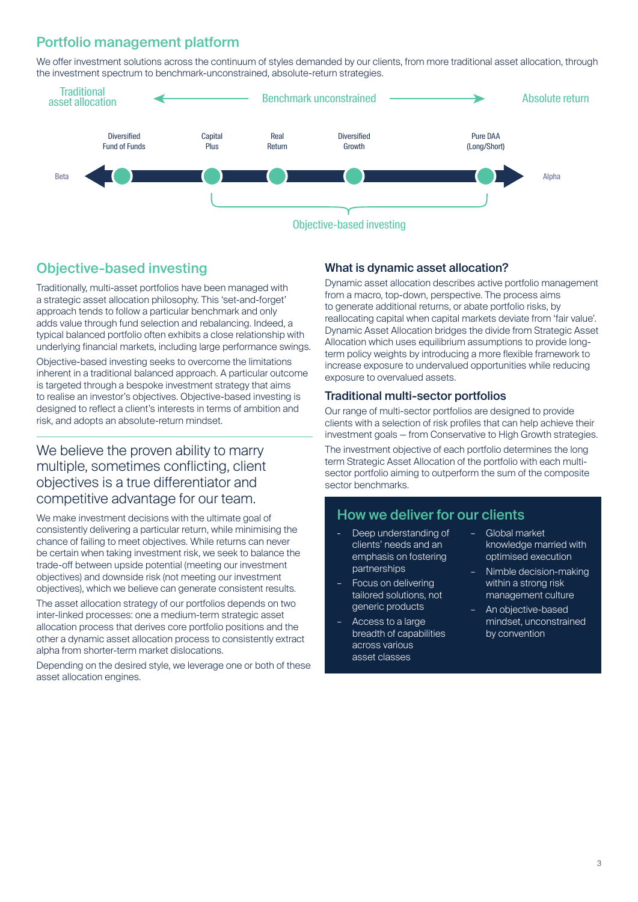## Portfolio management platform

We offer investment solutions across the continuum of styles demanded by our clients, from more traditional asset allocation, through the investment spectrum to benchmark-unconstrained, absolute-return strategies.



## Objective-based investing

Traditionally, multi-asset portfolios have been managed with a strategic asset allocation philosophy. This 'set-and-forget' approach tends to follow a particular benchmark and only adds value through fund selection and rebalancing. Indeed, a typical balanced portfolio often exhibits a close relationship with underlying financial markets, including large performance swings.

Objective-based investing seeks to overcome the limitations inherent in a traditional balanced approach. A particular outcome is targeted through a bespoke investment strategy that aims to realise an investor's objectives. Objective-based investing is designed to reflect a client's interests in terms of ambition and risk, and adopts an absolute-return mindset.

## We believe the proven ability to marry multiple, sometimes conflicting, client objectives is a true differentiator and competitive advantage for our team.

We make investment decisions with the ultimate goal of consistently delivering a particular return, while minimising the chance of failing to meet objectives. While returns can never be certain when taking investment risk, we seek to balance the trade-off between upside potential (meeting our investment objectives) and downside risk (not meeting our investment objectives), which we believe can generate consistent results.

The asset allocation strategy of our portfolios depends on two inter-linked processes: one a medium-term strategic asset allocation process that derives core portfolio positions and the other a dynamic asset allocation process to consistently extract alpha from shorter-term market dislocations.

Depending on the desired style, we leverage one or both of these asset allocation engines.

#### What is dynamic asset allocation?

Dynamic asset allocation describes active portfolio management from a macro, top-down, perspective. The process aims to generate additional returns, or abate portfolio risks, by reallocating capital when capital markets deviate from 'fair value'. Dynamic Asset Allocation bridges the divide from Strategic Asset Allocation which uses equilibrium assumptions to provide longterm policy weights by introducing a more flexible framework to increase exposure to undervalued opportunities while reducing exposure to overvalued assets.

#### Traditional multi-sector portfolios

Our range of multi-sector portfolios are designed to provide clients with a selection of risk profiles that can help achieve their investment goals — from Conservative to High Growth strategies. The investment objective of each portfolio determines the long term Strategic Asset Allocation of the portfolio with each multisector portfolio aiming to outperform the sum of the composite sector benchmarks.

## How we deliver for our clients

- Deep understanding of clients' needs and an emphasis on fostering partnerships
- Focus on delivering tailored solutions, not generic products
- Access to a large breadth of capabilities across various asset classes
- Global market knowledge married with optimised execution
- Nimble decision-making within a strong risk management culture
- An objective-based mindset, unconstrained by convention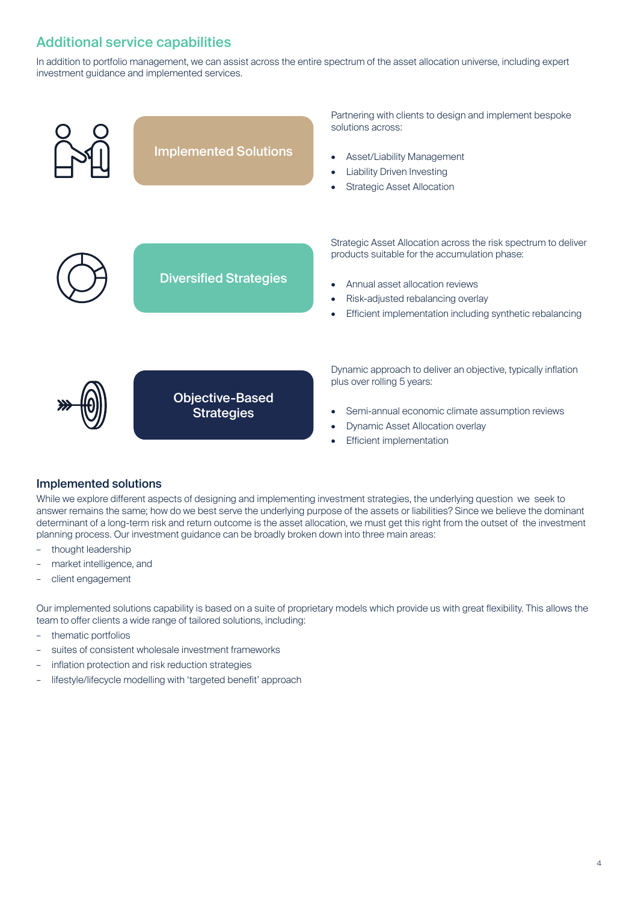# Additional service capabilities

In addition to portfolio management, we can assist across the entire spectrum of the asset allocation universe, including expert investment guidance and implemented services.



#### Implemented solutions

While we explore different aspects of designing and implementing investment strategies, the underlying question we seek to answer remains the same; how do we best serve the underlying purpose of the assets or liabilities? Since we believe the dominant determinant of a long-term risk and return outcome is the asset allocation, we must get this right from the outset of the investment planning process. Our investment guidance can be broadly broken down into three main areas:

- thought leadership
- market intelligence, and
- client engagement

Our implemented solutions capability is based on a suite of proprietary models which provide us with great flexibility. This allows the team to offer clients a wide range of tailored solutions, including:

- thematic portfolios
- suites of consistent wholesale investment frameworks
- inflation protection and risk reduction strategies
- lifestyle/lifecycle modelling with 'targeted benefit' approach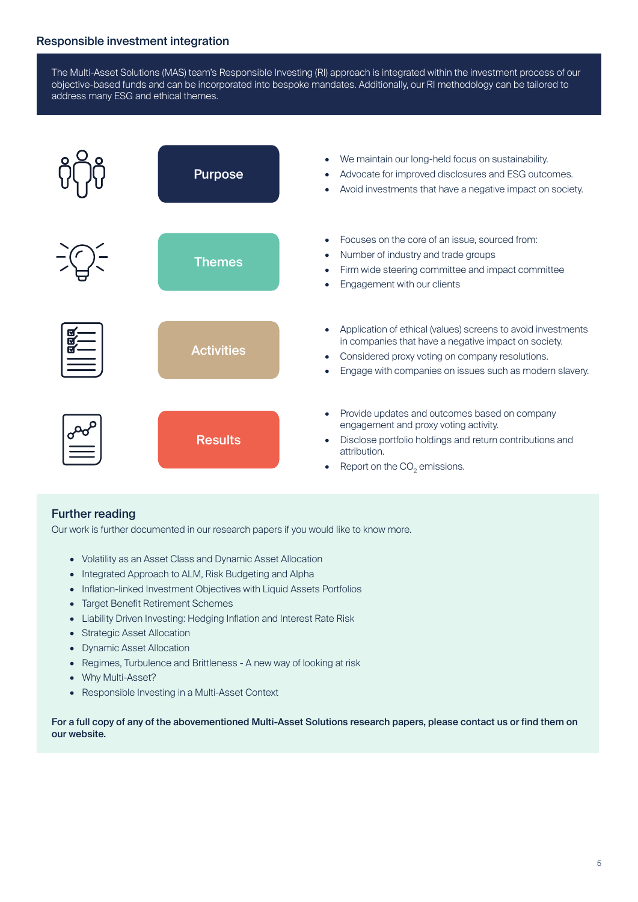The Multi-Asset Solutions (MAS) team's Responsible Investing (RI) approach is integrated within the investment process of our objective-based funds and can be incorporated into bespoke mandates. Additionally, our RI methodology can be tailored to address many ESG and ethical themes.



## Further reading

Our work is further documented in our research papers if you would like to know more.

- Volatility as an Asset Class and Dynamic Asset Allocation
- Integrated Approach to ALM, Risk Budgeting and Alpha
- Inflation-linked Investment Objectives with Liquid Assets Portfolios
- Target Benefit Retirement Schemes
- Liability Driven Investing: Hedging Inflation and Interest Rate Risk
- Strategic Asset Allocation
- Dynamic Asset Allocation
- Regimes, Turbulence and Brittleness A new way of looking at risk
- Why Multi-Asset?
- Responsible Investing in a Multi-Asset Context

For a full copy of any of the abovementioned Multi-Asset Solutions research papers, please contact us or find them on our website.